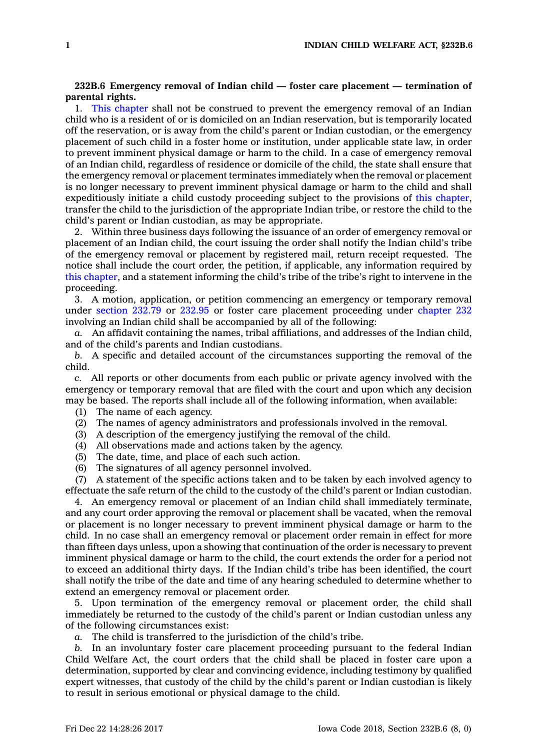## **232B.6 Emergency removal of Indian child — foster care placement — termination of parental rights.**

1. This [chapter](https://www.legis.iowa.gov/docs/code//232B.pdf) shall not be construed to prevent the emergency removal of an Indian child who is <sup>a</sup> resident of or is domiciled on an Indian reservation, but is temporarily located off the reservation, or is away from the child's parent or Indian custodian, or the emergency placement of such child in <sup>a</sup> foster home or institution, under applicable state law, in order to prevent imminent physical damage or harm to the child. In <sup>a</sup> case of emergency removal of an Indian child, regardless of residence or domicile of the child, the state shall ensure that the emergency removal or placement terminates immediately when the removal or placement is no longer necessary to prevent imminent physical damage or harm to the child and shall expeditiously initiate <sup>a</sup> child custody proceeding subject to the provisions of this [chapter](https://www.legis.iowa.gov/docs/code//232B.pdf), transfer the child to the jurisdiction of the appropriate Indian tribe, or restore the child to the child's parent or Indian custodian, as may be appropriate.

2. Within three business days following the issuance of an order of emergency removal or placement of an Indian child, the court issuing the order shall notify the Indian child's tribe of the emergency removal or placement by registered mail, return receipt requested. The notice shall include the court order, the petition, if applicable, any information required by this [chapter](https://www.legis.iowa.gov/docs/code//232B.pdf), and <sup>a</sup> statement informing the child's tribe of the tribe's right to intervene in the proceeding.

3. A motion, application, or petition commencing an emergency or temporary removal under [section](https://www.legis.iowa.gov/docs/code/232.79.pdf) 232.79 or [232.95](https://www.legis.iowa.gov/docs/code/232.95.pdf) or foster care placement proceeding under [chapter](https://www.legis.iowa.gov/docs/code//232.pdf) 232 involving an Indian child shall be accompanied by all of the following:

*a.* An affidavit containing the names, tribal affiliations, and addresses of the Indian child, and of the child's parents and Indian custodians.

*b.* A specific and detailed account of the circumstances supporting the removal of the child.

*c.* All reports or other documents from each public or private agency involved with the emergency or temporary removal that are filed with the court and upon which any decision may be based. The reports shall include all of the following information, when available:

- (1) The name of each agency.
- (2) The names of agency administrators and professionals involved in the removal.
- (3) A description of the emergency justifying the removal of the child.
- (4) All observations made and actions taken by the agency.
- (5) The date, time, and place of each such action.
- (6) The signatures of all agency personnel involved.

 $(7)$  A statement of the specific actions taken and to be taken by each involved agency to effectuate the safe return of the child to the custody of the child's parent or Indian custodian.

4. An emergency removal or placement of an Indian child shall immediately terminate, and any court order approving the removal or placement shall be vacated, when the removal or placement is no longer necessary to prevent imminent physical damage or harm to the child. In no case shall an emergency removal or placement order remain in effect for more than fifteen days unless, upon <sup>a</sup> showing that continuation of the order is necessary to prevent imminent physical damage or harm to the child, the court extends the order for <sup>a</sup> period not to exceed an additional thirty days. If the Indian child's tribe has been identified, the court shall notify the tribe of the date and time of any hearing scheduled to determine whether to extend an emergency removal or placement order.

5. Upon termination of the emergency removal or placement order, the child shall immediately be returned to the custody of the child's parent or Indian custodian unless any of the following circumstances exist:

*a.* The child is transferred to the jurisdiction of the child's tribe.

*b.* In an involuntary foster care placement proceeding pursuant to the federal Indian Child Welfare Act, the court orders that the child shall be placed in foster care upon <sup>a</sup> determination, supported by clear and convincing evidence, including testimony by qualified expert witnesses, that custody of the child by the child's parent or Indian custodian is likely to result in serious emotional or physical damage to the child.